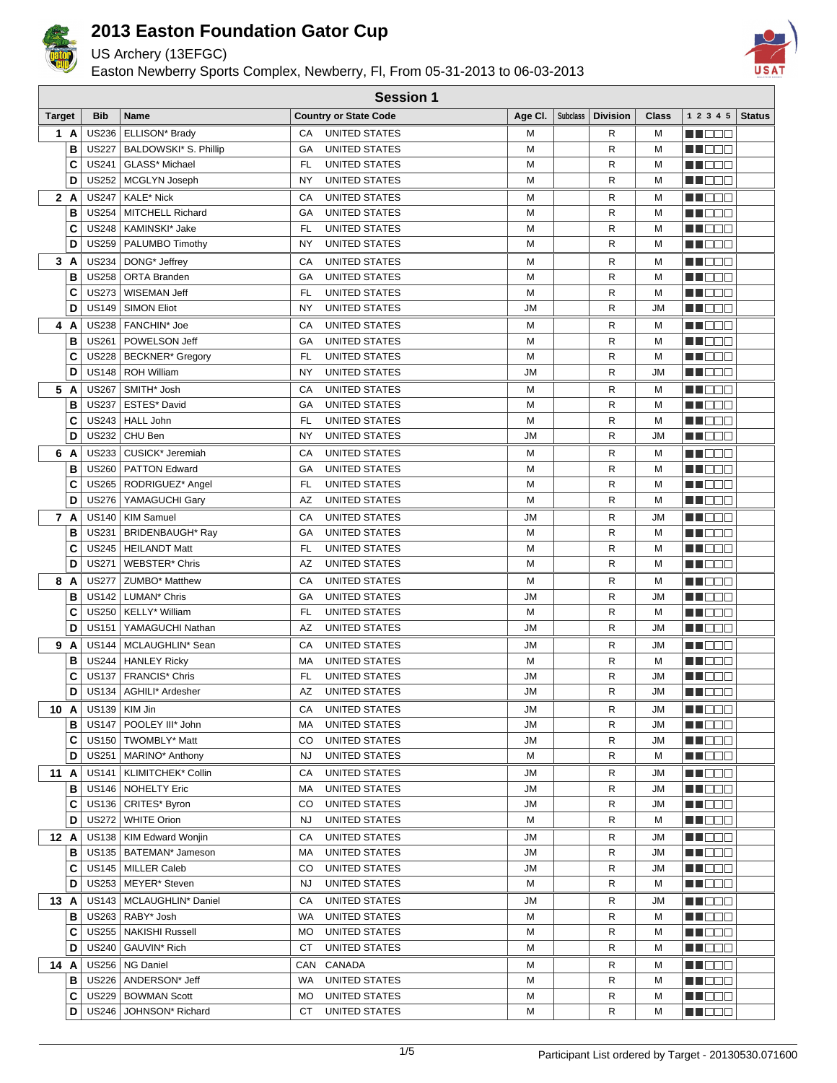

US Archery (13EFGC)

Easton Newberry Sports Complex, Newberry, Fl, From 05-31-2013 to 06-03-2013

**Session 1**



| <b>Target</b> |        | Bib          | Name                                             |           | <b>Country or State Code</b>   |           | Age CI.   Subclass   Division | Class     | 1 2 3 4 5                 | <b>Status</b> |
|---------------|--------|--------------|--------------------------------------------------|-----------|--------------------------------|-----------|-------------------------------|-----------|---------------------------|---------------|
|               | 1 A    | <b>US236</b> | ELLISON* Brady                                   | CA        | UNITED STATES                  | M         | R                             | М         | NN OO E                   |               |
|               | B      | <b>US227</b> | BALDOWSKI* S. Phillip                            | GA        | <b>UNITED STATES</b>           | М         | R                             | М         | MO DO O                   |               |
|               | C      | <b>US241</b> | GLASS* Michael                                   | FL        | UNITED STATES                  | M         | R                             | М         | MU O O O                  |               |
|               | D      |              | US252   MCGLYN Joseph                            | NY        | UNITED STATES                  | M         | R                             | м         | WO OO U                   |               |
|               | 2 A    | <b>US247</b> | KALE* Nick                                       | СA        | <b>UNITED STATES</b>           | М         | R                             | М         | MN O O O                  |               |
|               | в      | <b>US254</b> | MITCHELL Richard                                 | GА        | UNITED STATES                  | М         | R                             | М         | NN OO O                   |               |
|               | C      | <b>US248</b> | KAMINSKI* Jake                                   | FL        | UNITED STATES                  | M         | R                             | М         | M DE S                    |               |
|               | D      | <b>US259</b> | PALUMBO Timothy                                  | NY        | UNITED STATES                  | М         | R                             | М         | <u>LI OOO</u>             |               |
|               | 3A     | <b>US234</b> | DONG* Jeffrey                                    | СA        | UNITED STATES                  | M         | R                             | М         | MA BER                    |               |
|               | В      |              | US258   ORTA Branden                             | GА        | <b>UNITED STATES</b>           | М         | R                             | М         | MU O O O                  |               |
|               | C      | <b>US273</b> | <b>WISEMAN Jeff</b>                              | FL        | UNITED STATES                  | М         | R                             | М         | M D D D                   |               |
|               | D      | <b>US149</b> | <b>SIMON Eliot</b>                               | NY        | UNITED STATES                  | <b>JM</b> | R                             | <b>JM</b> | MO DO O                   |               |
|               | 4 A    |              | US238   FANCHIN* Joe                             | СA        | UNITED STATES                  | М         | R                             | М         | <u> Literatu</u>          |               |
|               | в      | <b>US261</b> | POWELSON Jeff                                    | GА        | <b>UNITED STATES</b>           | M         | R                             | М         | MA DE L                   |               |
|               | C      |              | US228   BECKNER* Gregory                         | FL        | UNITED STATES                  | M         | R                             | М         | MU DO B                   |               |
|               | D      | <b>US148</b> | <b>ROH William</b>                               | NY        | <b>UNITED STATES</b>           | <b>JM</b> | R                             | JM        | MN 888                    |               |
|               | 5 A    |              | US267   SMITH* Josh                              | CA        | UNITED STATES                  | M         | R                             | М         | MN OO B                   |               |
|               | B      | <b>US237</b> | ESTES* David                                     | GA        | UNITED STATES                  | M         | R                             | М         | MN DOO                    |               |
|               | C      |              | US243   HALL John                                | FL        | UNITED STATES                  | M         | R                             | М         | <b>MA</b> OOO             |               |
|               | D      | <b>US232</b> | CHU Ben                                          | NY        | UNITED STATES                  | <b>JM</b> | R                             | <b>JM</b> | MU O O O                  |               |
|               | 6 A    | <b>US233</b> | CUSICK* Jeremiah                                 | СA        | UNITED STATES                  | M         | R                             | М         | n noon                    |               |
|               | B      | <b>US260</b> | <b>PATTON Edward</b>                             | GА        | <b>UNITED STATES</b>           | M         | R                             | м         | MN DO B                   |               |
|               | C      | US265        | RODRIGUEZ* Angel                                 | FL        | UNITED STATES                  | М         | R                             | М         | <b>MARGE</b>              |               |
|               | D      | <b>US276</b> | YAMAGUCHI Gary                                   | AZ        | UNITED STATES                  | M         | R                             | М         | <u>Li Bee</u>             |               |
|               | 7 A    | <b>US140</b> | <b>KIM Samuel</b>                                | СA        | UNITED STATES                  | JM        | R                             | <b>JM</b> | N DO D                    |               |
|               | B      | <b>US231</b> | BRIDENBAUGH* Ray                                 | GА        | UNITED STATES                  | М         | R                             | М         | W OOO                     |               |
|               | C      |              | US245   HEILANDT Matt                            | FL        | UNITED STATES                  | M         | R                             | М         | NN O O O                  |               |
|               | D      | <b>US271</b> | <b>WEBSTER* Chris</b>                            | AZ        | UNITED STATES                  | М         | R                             | М         | <u> Literatu</u>          |               |
|               | 8 A    | <b>US277</b> | ZUMBO* Matthew                                   | СA        | UNITED STATES                  | M         | R                             | м         | N NO DEI                  |               |
|               | В      |              | US142   LUMAN* Chris                             | GА        | UNITED STATES                  | JM        | R                             | <b>JM</b> | e de e                    |               |
|               | C      |              | US250   KELLY* William                           | FL        | UNITED STATES                  | M         | R                             | М         | M DOO                     |               |
|               | D      | <b>US151</b> | YAMAGUCHI Nathan                                 | AZ        | UNITED STATES                  | JM        | R                             | <b>JM</b> | M NO S                    |               |
|               | 9 A    |              | US144   MCLAUGHLIN* Sean                         | СA        | UNITED STATES                  | JM        | R                             | JM        | M OO S                    |               |
|               | в      |              | US244   HANLEY Ricky                             | МA        | <b>UNITED STATES</b>           | M         | R                             | М         | MA DE L                   |               |
|               | C      |              | US137   FRANCIS* Chris                           | FL        | UNITED STATES                  | JM        | R                             | <b>JM</b> | n i Bele                  |               |
|               | D      | <b>US134</b> | AGHILI* Ardesher                                 | AZ        | UNITED STATES                  | <b>JM</b> | R                             | JM        | MU O O O                  |               |
| 10 A          |        |              | US139   KIM Jin                                  | СA        | <b>UNITED STATES</b>           | JМ        | R                             | JM        | MA DE S                   |               |
|               | в      |              | US147   POOLEY III* John                         | МA<br>CO  | UNITED STATES                  | JM        | R<br>R                        | JM        | <u> Literatur</u>         |               |
|               | C<br>D |              | US150   TWOMBLY* Matt<br>US251   MARINO* Anthony | <b>NJ</b> | UNITED STATES<br>UNITED STATES | JM<br>М   | R                             | JM<br>м   | NN O O O<br><u>Li BBB</u> |               |
| 11 A          |        |              | US141   KLIMITCHEK* Collin                       | СA        | UNITED STATES                  |           |                               | JM        | NN DE D                   |               |
|               | в      |              | US146   NOHELTY Eric                             | МA        | UNITED STATES                  | JM<br>JM  | R<br>R                        | JM        | MU O O O                  |               |
|               | С      |              | US136   CRITES* Byron                            | CO        | UNITED STATES                  | JМ        | R                             | JM        | MA OO O                   |               |
|               | D      |              | US272   WHITE Orion                              | NJ        | UNITED STATES                  | M         | R                             | м         | <u> Literatu</u>          |               |
| 12 A          |        |              | US138   KIM Edward Wonjin                        | СA        | UNITED STATES                  | JM        | R                             | JM        | M OO O                    |               |
|               | в      |              | US135   BATEMAN* Jameson                         | МA        | UNITED STATES                  | JM        | R                             | <b>JM</b> | <u>Lielai laikat</u>      |               |
|               | C      |              | US145   MILLER Caleb                             | CO        | UNITED STATES                  | JM        | R                             | JM        | <u>Li dec</u>             |               |
|               | D      |              | US253   MEYER* Steven                            | NJ        | UNITED STATES                  | М         | R                             | М         | MU O O O                  |               |
| 13 A          |        |              | US143   MCLAUGHLIN* Daniel                       | СA        | UNITED STATES                  | JM        | R                             | JM        | MU DO O                   |               |
|               | в      |              | US263   RABY* Josh                               | WA        | UNITED STATES                  | М         | R                             | М         | <u> Literatu</u>          |               |
|               | С      |              | US255   NAKISHI Russell                          | MO        | UNITED STATES                  | М         | R                             | м         | M DE S                    |               |
|               | D      |              | US240   GAUVIN* Rich                             | СT        | UNITED STATES                  | M         | R                             | м         | MU O O O                  |               |
| 14 A          |        |              | US256   NG Daniel                                | CAN       | CANADA                         | М         | R                             | м         | M DE S                    |               |
|               | в      |              | US226   ANDERSON* Jeff                           | WA        | UNITED STATES                  | M         | R                             | М         | MU DO B                   |               |
|               | C      |              | US229   BOWMAN Scott                             | MO        | UNITED STATES                  | M         | R                             | м         | <u> Literatu</u>          |               |
|               | D      |              | US246   JOHNSON* Richard                         | СT        | UNITED STATES                  | М         | R                             | М         | <b>NNOOC</b>              |               |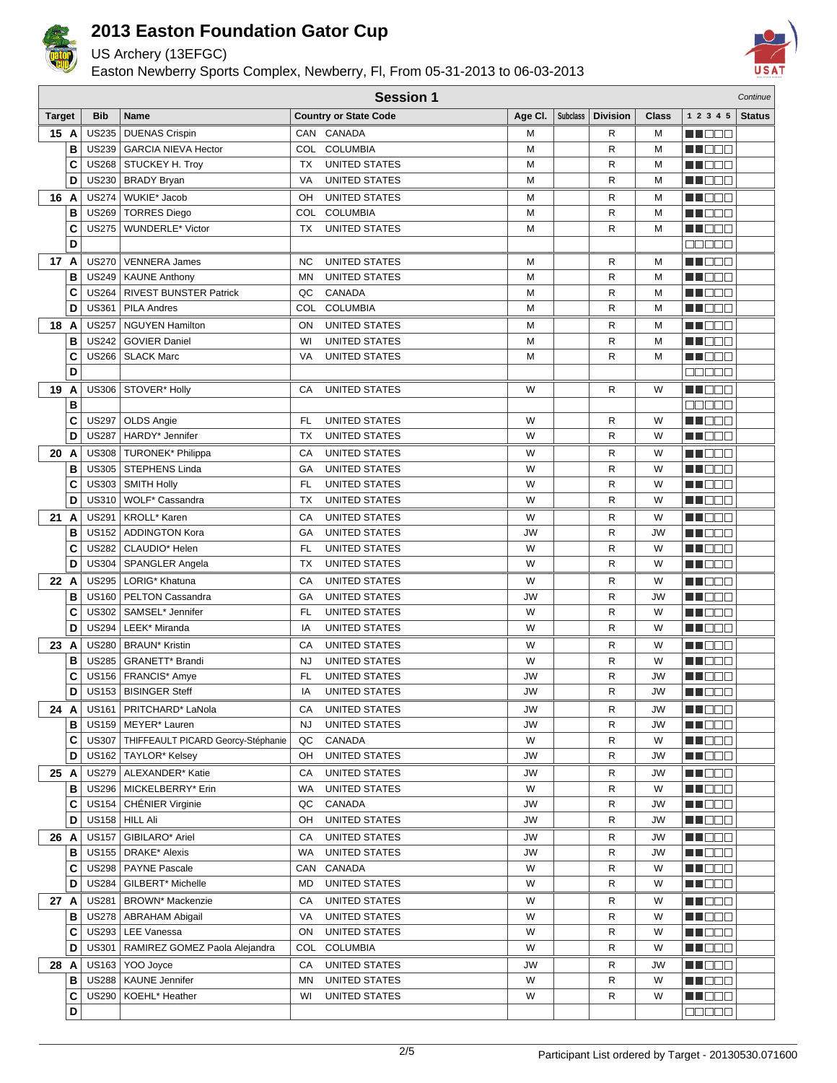

US Archery (13EFGC)

Easton Newberry Sports Complex, Newberry, Fl, From 05-31-2013 to 06-03-2013



|               | <b>Session 1</b><br>Continue |              |                                            |           |                                       |                |                 |                 |                |                   |               |
|---------------|------------------------------|--------------|--------------------------------------------|-----------|---------------------------------------|----------------|-----------------|-----------------|----------------|-------------------|---------------|
| <b>Target</b> |                              | <b>Bib</b>   | <b>Name</b>                                |           | <b>Country or State Code</b>          | Age CI.        | <b>Subclass</b> | <b>Division</b> | <b>Class</b>   | 1 2 3 4 5         | <b>Status</b> |
| 15 A          |                              | <b>US235</b> | <b>DUENAS Crispin</b>                      |           | CAN CANADA                            | М              |                 | R               | М              | NN OO E           |               |
|               | B                            |              | US239   GARCIA NIEVA Hector                |           | COL COLUMBIA                          | M              |                 | R               | M              | n i Bele          |               |
|               | C                            |              | US268 STUCKEY H. Troy                      | <b>TX</b> | <b>UNITED STATES</b>                  | M              |                 | R               | М              | HI EEE            |               |
|               | D                            |              | US230   BRADY Bryan                        | VA        | <b>UNITED STATES</b>                  | M              |                 | R               | М              | n de a            |               |
| 16 A          |                              |              | US274   WUKIE* Jacob                       | OН        | <b>UNITED STATES</b>                  | М              |                 | R               | М              | n i DDE           |               |
|               | B                            |              | US269   TORRES Diego                       |           | COL COLUMBIA                          | M              |                 | R               | М              | NN OO E           |               |
|               | C                            |              | US275   WUNDERLE* Victor                   | ТX        | <b>UNITED STATES</b>                  | M              |                 | R               | М              | N DE E            |               |
|               | D                            |              |                                            |           |                                       |                |                 |                 |                | 00000             |               |
| 17 A          |                              | <b>US270</b> | <b>VENNERA James</b>                       | NC        | <b>UNITED STATES</b>                  | M              |                 | R               | М              | M OO E            |               |
|               | B                            |              | US249   KAUNE Anthony                      | <b>MN</b> | <b>UNITED STATES</b>                  | M              |                 | R               | М              | M OO E            |               |
|               | C                            |              | US264   RIVEST BUNSTER Patrick             | QC        | CANADA                                | M              |                 | R               | М              | NN OO E           |               |
|               | D                            | <b>US361</b> | <b>PILA Andres</b>                         | COL       | <b>COLUMBIA</b>                       | М              |                 | R               | М              | MO DO O           |               |
| 18            | A                            | <b>US257</b> | <b>NGUYEN Hamilton</b>                     | ON        | <b>UNITED STATES</b>                  | M              |                 | R               | М              | MA DE E           |               |
|               | B                            | <b>US242</b> | <b>GOVIER Daniel</b>                       | WI        | <b>UNITED STATES</b>                  | М              |                 | R               | М              | MA DE S           |               |
|               | C                            | <b>US266</b> | <b>SLACK Marc</b>                          | VA        | <b>UNITED STATES</b>                  | M              |                 | R               | М              | MU DO B           |               |
|               | D                            |              |                                            |           |                                       |                |                 |                 |                | 88886             |               |
| 19            | A                            |              | US306   STOVER* Holly                      | СA        | <b>UNITED STATES</b>                  | W              |                 | R               | W              | MN OO B           |               |
|               | B                            |              |                                            |           |                                       |                |                 |                 |                | <b>REBEE</b>      |               |
|               | C                            | <b>US297</b> | OLDS Angie                                 | FL        | <b>UNITED STATES</b>                  | W              |                 | R               | W              | M DO B            |               |
|               | D                            | <b>US287</b> | HARDY* Jennifer                            | ТX        | <b>UNITED STATES</b>                  | W              |                 | R               | W              | M OOO             |               |
| 20 A          |                              |              | US308   TURONEK* Philippa                  | CA        | <b>UNITED STATES</b>                  | W              |                 | R               | W              | MU DO V           |               |
|               | B                            |              | US305   STEPHENS Linda                     | GA        | UNITED STATES                         | W              |                 | R               | W              | THE EA            |               |
|               | C                            |              | US303   SMITH Holly                        | FL        | <b>UNITED STATES</b>                  | W              |                 | R               | W              | a de E            |               |
|               | D                            |              | US310   WOLF* Cassandra                    | <b>TX</b> | <b>UNITED STATES</b>                  | W              |                 | R               | W              | MA DE C           |               |
| 21A           |                              |              | US291   KROLL* Karen                       |           |                                       |                |                 |                 |                |                   |               |
|               | B                            | US152        | ADDINGTON Kora                             | СA<br>GA  | UNITED STATES<br><b>UNITED STATES</b> | W<br><b>JW</b> |                 | R<br>R          | W<br><b>JW</b> | HI EEE<br>M DE O  |               |
|               | C                            | <b>US282</b> | CLAUDIO* Helen                             | FL        | <b>UNITED STATES</b>                  | W              |                 | R               | W              | NN OO E           |               |
|               | D                            |              | US304   SPANGLER Angela                    | <b>TX</b> | <b>UNITED STATES</b>                  | W              |                 | R               | W              | MA DE C           |               |
| 22 A          |                              |              | US295   LORIG* Khatuna                     | CA        | <b>UNITED STATES</b>                  | W              |                 | R               | W              |                   |               |
|               | B                            | <b>US160</b> | PELTON Cassandra                           | GA        | <b>UNITED STATES</b>                  | JW             |                 | R               | JW             | NT EE E<br>N DE L |               |
|               | С                            | <b>US302</b> | SAMSEL* Jennifer                           | <b>FL</b> | UNITED STATES                         | W              |                 | R               | W              | MU DO B           |               |
|               | D                            | <b>US294</b> | LEEK* Miranda                              | IA        | UNITED STATES                         | W              |                 | R               | W              | MU O O O          |               |
| 23 A          |                              |              | US280   BRAUN* Kristin                     | СA        | <b>UNITED STATES</b>                  | W              |                 | R               | W              | n i Bibli         |               |
|               | B                            | <b>US285</b> | GRANETT* Brandi                            | <b>NJ</b> | <b>UNITED STATES</b>                  | W              |                 | R               | W              | MA DE E           |               |
|               | C                            | <b>US156</b> | FRANCIS* Amye                              | <b>FL</b> | <b>UNITED STATES</b>                  | JW             |                 | R               | <b>JW</b>      | ME DE S           |               |
|               | D                            |              | US153   BISINGER Steff                     | IA        | <b>UNITED STATES</b>                  | <b>JW</b>      |                 | R               | <b>JW</b>      | M DEE             |               |
| 24 A          |                              |              | US161   PRITCHARD* LaNola                  | СA        | <b>UNITED STATES</b>                  | JW             |                 |                 | JW             |                   |               |
|               | в                            |              | US159   MEYER* Lauren                      | NJ        | UNITED STATES                         | JW             |                 | R<br>R          | JW             | W OOO<br>MUOOO    |               |
|               | С                            |              | US307   THIFFEAULT PICARD Georcy-Stéphanie | QC        | CANADA                                | W              |                 | R               | W              | NN O O O          |               |
|               | D                            |              | US162   TAYLOR* Kelsey                     | OH        | UNITED STATES                         | JW             |                 | R               | JW             | N DE B            |               |
| 25 A          |                              |              | US279   ALEXANDER* Katie                   | СA        | <b>UNITED STATES</b>                  | JW             |                 | R               | JW             | MU DE B           |               |
|               | в                            |              | US296   MICKELBERRY* Erin                  | WA        | <b>UNITED STATES</b>                  | W              |                 | R               | W              | WU O O O          |               |
|               | С                            |              | US154   CHÉNIER Virginie                   | QC        | CANADA                                | JW             |                 | R               | JW             | MU OO U           |               |
|               | D                            |              | US158 HILL Ali                             | OH        | UNITED STATES                         | JW             |                 | R               | JW             | MUOOO             |               |
| 26 A          |                              |              | US157   GIBILARO* Ariel                    | СA        | <b>UNITED STATES</b>                  | JW             |                 | R               | JW             | MA DE E           |               |
|               | в                            |              | US155   DRAKE* Alexis                      | WA        | <b>UNITED STATES</b>                  | <b>JW</b>      |                 | R               | JW             | MA DE E           |               |
|               | С                            |              | US298   PAYNE Pascale                      | CAN       | CANADA                                | W              |                 | R               | W              | MA DE E           |               |
|               | D                            |              | US284   GILBERT* Michelle                  | MD        | UNITED STATES                         | W              |                 | R               | W              | MUOOO             |               |
| 27 A          |                              |              | US281   BROWN* Mackenzie                   | СA        | UNITED STATES                         | W              |                 | R               | W              | WU 88             |               |
|               | в                            |              | US278   ABRAHAM Abigail                    | VA        | UNITED STATES                         | W              |                 | R               | W              | MU DO B           |               |
|               | С                            |              | US293   LEE Vanessa                        | ON        | <b>UNITED STATES</b>                  | W              |                 | R               | W              | <b>MA</b> DOO     |               |
|               | D                            | <b>US301</b> | RAMIREZ GOMEZ Paola Alejandra              | COL       | <b>COLUMBIA</b>                       | W              |                 | R               | W              | MU DO O           |               |
|               |                              |              | US163   YOO Joyce                          |           | <b>UNITED STATES</b>                  |                |                 |                 | JW             | N NO DEI          |               |
| 28 A          | в                            |              | US288   KAUNE Jennifer                     | СA<br>ΜN  | UNITED STATES                         | JW<br>W        |                 | R<br>R          | W              | MU DO B           |               |
|               | C                            |              | US290   KOEHL* Heather                     | WI        | UNITED STATES                         | W              |                 | R               | W              | MUOOO             |               |
|               | D                            |              |                                            |           |                                       |                |                 |                 |                | 88888             |               |
|               |                              |              |                                            |           |                                       |                |                 |                 |                |                   |               |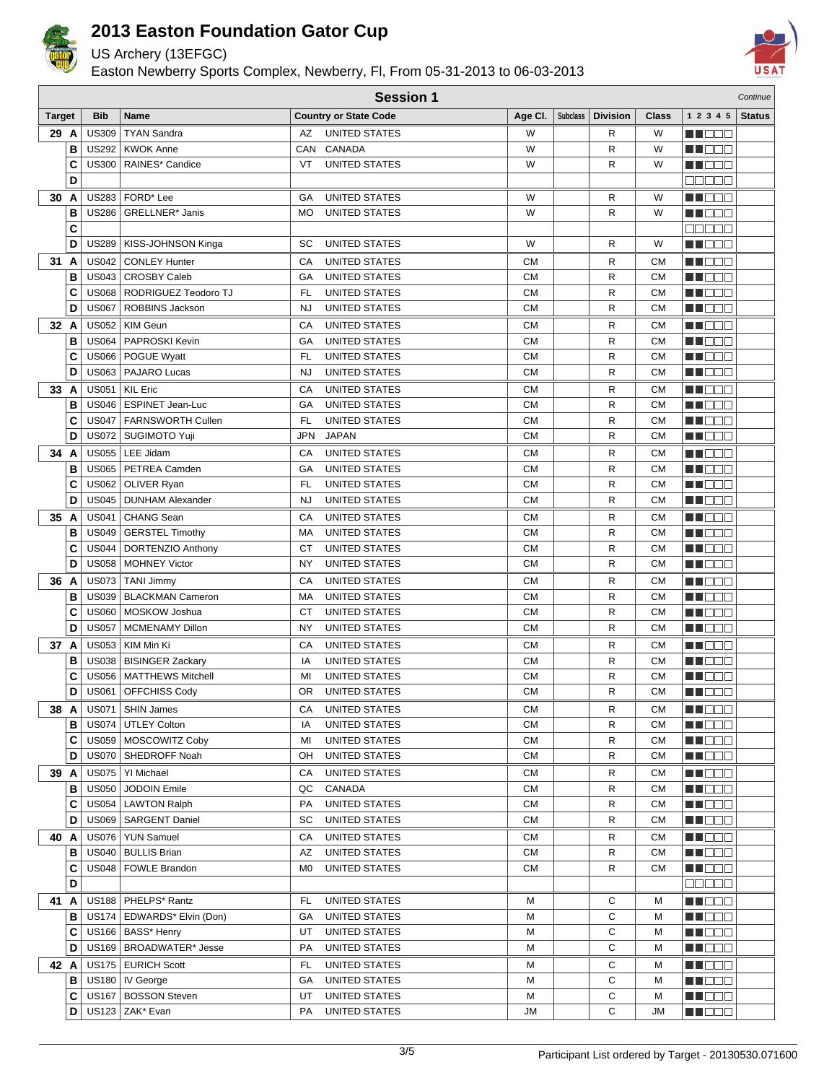

US Archery (13EFGC)

Easton Newberry Sports Complex, Newberry, Fl, From 05-31-2013 to 06-03-2013



|               | <b>Session 1</b><br>Continue |                              |                                                     |            |                                              |                        |                 |                 |                        |                          |               |
|---------------|------------------------------|------------------------------|-----------------------------------------------------|------------|----------------------------------------------|------------------------|-----------------|-----------------|------------------------|--------------------------|---------------|
| <b>Target</b> |                              | <b>Bib</b>                   | Name                                                |            | <b>Country or State Code</b>                 | Age CI.                | <b>Subclass</b> | <b>Division</b> | <b>Class</b>           | 1 2 3 4 5                | <b>Status</b> |
| 29 A          |                              | <b>US309</b>                 | <b>TYAN Sandra</b>                                  | AZ         | <b>UNITED STATES</b>                         | W                      |                 | R               | W                      | MN 88 E                  |               |
|               | B                            |                              | US292   KWOK Anne                                   |            | CAN CANADA                                   | W                      |                 | R               | W                      | n de e                   |               |
|               | C                            | <b>US300</b>                 | RAINES* Candice                                     | VT         | <b>UNITED STATES</b>                         | W                      |                 | R               | W                      | M D D D                  |               |
|               | D                            |                              |                                                     |            |                                              |                        |                 |                 |                        | <b>ROBBE</b>             |               |
| 30 A          |                              |                              | US283 FORD* Lee                                     | GA         | <b>UNITED STATES</b>                         | W                      |                 | R               | W                      | MOO B                    |               |
|               | В                            |                              | US286   GRELLNER* Janis                             | МO         | <b>UNITED STATES</b>                         | W                      |                 | R               | W                      | MOOO                     |               |
|               | C                            |                              |                                                     |            |                                              |                        |                 |                 |                        | <b>REBEE</b>             |               |
|               | D                            | <b>US289</b>                 | KISS-JOHNSON Kinga                                  | SC         | <b>UNITED STATES</b>                         | W                      |                 | R               | W                      | <b>NH</b> OOO            |               |
| 31 A          |                              | <b>US042</b>                 | <b>CONLEY Hunter</b>                                | CA         | <b>UNITED STATES</b>                         | <b>CM</b>              |                 | R               | <b>CM</b>              | MU DOC                   |               |
|               | B                            | <b>US043</b>                 | <b>CROSBY Caleb</b>                                 | GA         | <b>UNITED STATES</b>                         | <b>CM</b>              |                 | R               | <b>CM</b>              | MU DOC                   |               |
|               | C                            |                              | US068   RODRIGUEZ Teodoro TJ                        | <b>FL</b>  | <b>UNITED STATES</b>                         | <b>CM</b>              |                 | R               | <b>CM</b>              | MN OO B                  |               |
|               | D                            | <b>US067</b>                 | ROBBINS Jackson                                     | <b>NJ</b>  | <b>UNITED STATES</b>                         | <b>CM</b>              |                 | R               | <b>CM</b>              | MA DE E                  |               |
| 32 A          |                              | <b>US052</b>                 | KIM Geun                                            | CA         | <b>UNITED STATES</b>                         | <b>CM</b>              |                 | R               | <b>CM</b>              | <b>RECOR</b>             |               |
|               | B                            | <b>US064</b>                 | PAPROSKI Kevin                                      | GA         | <b>UNITED STATES</b>                         | <b>CM</b>              |                 | R               | <b>CM</b>              | N NO D O                 |               |
|               | C                            | <b>US066</b>                 | POGUE Wyatt                                         | <b>FL</b>  | <b>UNITED STATES</b>                         | <b>CM</b>              |                 | R               | <b>CM</b>              | MU DO 2                  |               |
|               | D                            | <b>US063</b>                 | PAJARO Lucas                                        | <b>NJ</b>  | <b>UNITED STATES</b>                         | <b>CM</b>              |                 | R               | <b>CM</b>              | NN O O O                 |               |
| 33 A          |                              | <b>US051</b>                 | <b>KIL Eric</b>                                     | CA         | <b>UNITED STATES</b>                         | <b>CM</b>              |                 | R               | <b>CM</b>              | MA DE E                  |               |
|               | в                            | <b>US046</b>                 | ESPINET Jean-Luc                                    | GA         | UNITED STATES                                | СM                     |                 | R               | <b>CM</b>              | N DE E                   |               |
|               | C                            | <b>US047</b>                 | <b>FARNSWORTH Cullen</b>                            | <b>FL</b>  | <b>UNITED STATES</b>                         | CМ                     |                 | R               | <b>CM</b>              | <u> a se es</u>          |               |
|               | D                            |                              | US072   SUGIMOTO Yuji                               | <b>JPN</b> | <b>JAPAN</b>                                 | СM                     |                 | R               | <b>CM</b>              | MU O O O                 |               |
| 34 A          |                              |                              | US055   LEE Jidam                                   | CA         | UNITED STATES                                | CМ                     |                 | R               | <b>CM</b>              | M DOO                    |               |
|               | B                            |                              | US065   PETREA Camden                               | GA         | UNITED STATES                                | CМ                     |                 | R               | <b>CM</b>              | M OO B                   |               |
|               | C                            |                              | US062   OLIVER Ryan                                 | <b>FL</b>  | <b>UNITED STATES</b>                         | <b>CM</b>              |                 | R               | <b>CM</b>              | N NO D O                 |               |
|               | D                            | <b>US045</b>                 | <b>DUNHAM Alexander</b>                             | <b>NJ</b>  | UNITED STATES                                | <b>CM</b>              |                 | R               | <b>CM</b>              | MA DE C                  |               |
| 35 A          |                              | <b>US041</b>                 | <b>CHANG Sean</b>                                   | CA         | UNITED STATES                                | CМ                     |                 | R               | <b>CM</b>              | <u> a se es</u>          |               |
|               | B                            | <b>US049</b>                 | <b>GERSTEL Timothy</b>                              | МA         | <b>UNITED STATES</b>                         | <b>CM</b>              |                 | R               | <b>CM</b>              | M DO B                   |               |
|               | C                            | <b>US044</b>                 | DORTENZIO Anthony                                   | <b>CT</b>  | UNITED STATES                                | <b>CM</b>              |                 | R               | <b>CM</b>              | M OO B                   |               |
|               | D                            | <b>US058</b>                 | <b>MOHNEY Victor</b>                                | NY         | UNITED STATES                                | <b>CM</b>              |                 | R               | <b>CM</b>              | <b>REDEE</b>             |               |
| 36 A          |                              |                              | US073 TANI Jimmy                                    | CA         | <b>UNITED STATES</b>                         | <b>CM</b>              |                 | R               | <b>CM</b>              | MA DE E                  |               |
|               | B                            | <b>US039</b>                 | <b>BLACKMAN Cameron</b>                             | МA         | <b>UNITED STATES</b>                         | <b>CM</b>              |                 | R               | <b>CM</b>              | M DEE                    |               |
|               | C                            | <b>US060</b>                 | MOSKOW Joshua                                       | <b>CT</b>  | UNITED STATES                                | <b>CM</b>              |                 | R               | <b>CM</b>              | M DO B                   |               |
|               | D                            | <b>US057</b>                 | <b>MCMENAMY Dillon</b>                              | NY         | <b>UNITED STATES</b>                         | <b>CM</b>              |                 | R               | <b>CM</b>              | MN 888                   |               |
| 37 A          |                              | <b>US053</b>                 | KIM Min Ki                                          | CA         | UNITED STATES                                | <b>CM</b>              |                 | R               | <b>CM</b>              | MN 888                   |               |
|               | В                            | <b>US038</b>                 | <b>BISINGER Zackary</b><br><b>MATTHEWS Mitchell</b> | IA         | <b>UNITED STATES</b>                         | <b>CM</b>              |                 | R               | <b>CM</b>              | MA DE C                  |               |
|               | C<br>D                       | <b>US056</b><br><b>US061</b> | OFFCHISS Cody                                       | MI<br>OR   | <b>UNITED STATES</b><br><b>UNITED STATES</b> | <b>CM</b><br><b>CM</b> |                 | R<br>R          | <b>CM</b><br><b>CM</b> | N N D D D<br>n in Biblio |               |
|               |                              |                              |                                                     |            |                                              |                        |                 |                 |                        |                          |               |
| 38 A          | в                            | US071<br>US074               | SHIN James<br><b>UTLEY Colton</b>                   | СA<br>IA   | UNITED STATES<br>UNITED STATES               | CМ<br>СM               |                 | R<br>R          | <b>CM</b><br><b>CM</b> | MU DE B<br>MUO OO        |               |
|               | C                            |                              | US059   MOSCOWITZ Coby                              | MI         | UNITED STATES                                | <b>CM</b>              |                 | R               | <b>CM</b>              | <b>REDDO</b>             |               |
|               | D                            |                              | US070   SHEDROFF Noah                               | OН         | UNITED STATES                                | CМ                     |                 | R               | <b>CM</b>              | <u>Maca</u>              |               |
| 39 A          |                              |                              | US075   YI Michael                                  | СA         | UNITED STATES                                | CМ                     |                 | R               | CМ                     | ME DE S                  |               |
|               | в                            | <b>US050</b>                 | JODOIN Emile                                        | QC         | CANADA                                       | <b>CM</b>              |                 | R               | <b>CM</b>              | MA DE S                  |               |
|               | С                            | US054                        | <b>LAWTON Ralph</b>                                 | PA         | UNITED STATES                                | CМ                     |                 | R               | <b>CM</b>              | MNO 88                   |               |
|               | D                            |                              | US069   SARGENT Daniel                              | SC         | UNITED STATES                                | <b>CM</b>              |                 | R               | <b>CM</b>              | MN 888                   |               |
| 40 A          |                              |                              | US076   YUN Samuel                                  | CА         | UNITED STATES                                | CМ                     |                 | R               | <b>CM</b>              | MN 888                   |               |
|               | В                            |                              | US040   BULLIS Brian                                | AZ         | <b>UNITED STATES</b>                         | <b>CM</b>              |                 | R               | <b>CM</b>              | MN OO O                  |               |
|               | С                            |                              | US048   FOWLE Brandon                               | M0         | UNITED STATES                                | <b>CM</b>              |                 | R               | <b>CM</b>              | MU DE B                  |               |
|               | D                            |                              |                                                     |            |                                              |                        |                 |                 |                        | <b>00000</b>             |               |
| 41 A          |                              |                              | US188   PHELPS* Rantz                               | FL         | UNITED STATES                                | М                      |                 | С               | М                      | MU DO 3                  |               |
|               | в                            |                              | US174   EDWARDS* Elvin (Don)                        | GA         | UNITED STATES                                | М                      |                 | С               | М                      | MU DO B                  |               |
|               | C                            |                              | US166   BASS* Henry                                 | UT         | UNITED STATES                                | М                      |                 | С               | М                      | <b>MEDEE</b>             |               |
|               | D                            |                              | US169   BROADWATER* Jesse                           | PA         | UNITED STATES                                | Μ                      |                 | С               | М                      | MUOOO                    |               |
| 42 A          |                              |                              | US175   EURICH Scott                                | FL         | UNITED STATES                                | М                      |                 | С               | м                      | MA DE B                  |               |
|               | в                            |                              | US180   IV George                                   | GА         | UNITED STATES                                | Μ                      |                 | С               | М                      | MUOOO                    |               |
|               | С                            |                              | US167   BOSSON Steven                               | UT         | UNITED STATES                                | Μ                      |                 | С               | М                      | MN 888                   |               |
|               | D                            |                              | US123 ZAK* Evan                                     | PA         | UNITED STATES                                | JM                     |                 | С               | JМ                     | <u> El Sec</u>           |               |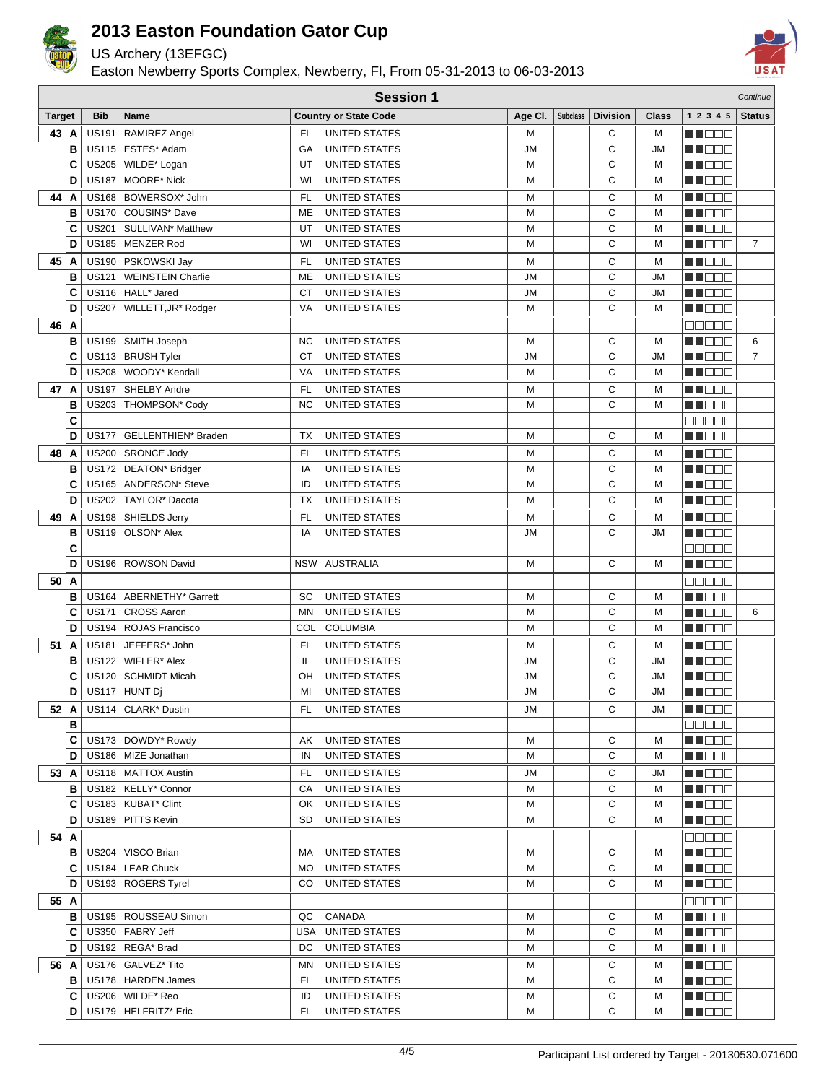

US Archery (13EFGC)

Easton Newberry Sports Complex, Newberry, Fl, From 05-31-2013 to 06-03-2013



|               | <b>Session 1</b><br>Continue |                              |                                                 |                  |                                              |                        |                 |                 |              |                     |                |
|---------------|------------------------------|------------------------------|-------------------------------------------------|------------------|----------------------------------------------|------------------------|-----------------|-----------------|--------------|---------------------|----------------|
| <b>Target</b> |                              | <b>Bib</b>                   | Name                                            |                  | <b>Country or State Code</b>                 | Age CI.                | <b>Subclass</b> | <b>Division</b> | <b>Class</b> | 1 2 3 4 5           | <b>Status</b>  |
| 43 A          |                              | <b>US191</b>                 | RAMIREZ Angel                                   | FL               | <b>UNITED STATES</b>                         | M                      |                 | С               | М            | MN 88 E             |                |
|               | B                            |                              | US115   ESTES* Adam                             | GA               | UNITED STATES                                | <b>JM</b>              |                 | C               | <b>JM</b>    | M DE E              |                |
|               | C                            | <b>US205</b>                 | WILDE* Logan                                    | UT               | <b>UNITED STATES</b>                         | M                      |                 | С               | М            | M D B B             |                |
|               | D                            | <b>US187</b>                 | <b>MOORE* Nick</b>                              | WI               | <b>UNITED STATES</b>                         | M                      |                 | C               | M            | MN OO B             |                |
| 44            | A                            | <b>US168</b>                 | BOWERSOX* John                                  | FL               | <b>UNITED STATES</b>                         | M                      |                 | С               | М            | MN OO B             |                |
|               | B                            | <b>US170</b>                 | COUSINS* Dave                                   | ME               | UNITED STATES                                | M                      |                 | C               | M            | MN OO O             |                |
|               | С                            | <b>US201</b>                 | SULLIVAN <sup>*</sup> Matthew                   | UT               | UNITED STATES                                | M                      |                 | C               | М            | MO DO O             |                |
|               | D                            | <b>US185</b>                 | MENZER Rod                                      | WI               | <b>UNITED STATES</b>                         | М                      |                 | C               | M            | MA DE S             | $\overline{7}$ |
| 45 A          |                              |                              | US190   PSKOWSKI Jay                            | FL               | <b>UNITED STATES</b><br><b>UNITED STATES</b> | М                      |                 | С               | М            | n i De E            |                |
|               | В<br>C                       | <b>US121</b>                 | <b>WEINSTEIN Charlie</b><br>US116   HALL* Jared | ME<br><b>CT</b>  | <b>UNITED STATES</b>                         | <b>JM</b><br><b>JM</b> |                 | C<br>C          | ЛU<br>ЛU     | ME 888<br>MU DO O   |                |
|               | D                            | <b>US207</b>                 | WILLETT, JR* Rodger                             | VA               | UNITED STATES                                | M                      |                 | C               | М            | MO DO O             |                |
| 46 A          |                              |                              |                                                 |                  |                                              |                        |                 |                 |              | <u>e se se</u>      |                |
|               | в                            | <b>US199</b>                 | SMITH Joseph                                    | <b>NC</b>        | <b>UNITED STATES</b>                         | M                      |                 | C               | M            | n i De E            | 6              |
|               | C                            |                              | US113   BRUSH Tyler                             | СT               | UNITED STATES                                | <b>JM</b>              |                 | C               | ЛU           | MU DO V             | $\overline{7}$ |
|               | D                            | <b>US208</b>                 | WOODY* Kendall                                  | VA               | UNITED STATES                                | M                      |                 | C               | M            | MU DO O             |                |
| 47 A          |                              | <b>US197</b>                 | <b>SHELBY Andre</b>                             | FL               | <b>UNITED STATES</b>                         | M                      |                 | С               | м            | MN 888              |                |
|               | В                            |                              | US203   THOMPSON* Cody                          | <b>NC</b>        | <b>UNITED STATES</b>                         | M                      |                 | C               | M            | n i Bele            |                |
|               | C                            |                              |                                                 |                  |                                              |                        |                 |                 |              | 00000               |                |
|               | D                            | <b>US177</b>                 | GELLENTHIEN* Braden                             | TX               | <b>UNITED STATES</b>                         | M                      |                 | C               | M            | MA E E E            |                |
| 48 A          |                              |                              | US200   SRONCE Jody                             | <b>FL</b>        | UNITED STATES                                | M                      |                 | С               | M            | M DE S              |                |
|               | B                            | <b>US172</b>                 | DEATON* Bridger                                 | IA               | <b>UNITED STATES</b>                         | M                      |                 | C               | М            | MN 888              |                |
|               | C                            | <b>US165</b>                 | ANDERSON* Steve                                 | ID               | <b>UNITED STATES</b>                         | M                      |                 | С               | М            | MA BEE              |                |
|               | D                            | <b>US202</b>                 | TAYLOR <sup>*</sup> Dacota                      | TX               | <b>UNITED STATES</b>                         | M                      |                 | C               | М            | MU DO 2             |                |
| 49            | A                            | <b>US198</b>                 | SHIELDS Jerry                                   | <b>FL</b>        | <b>UNITED STATES</b>                         | M                      |                 | С               | М            | <b>MN</b> OOC       |                |
|               | в                            | <b>US119</b>                 | OLSON* Alex                                     | IA               | <b>UNITED STATES</b>                         | JM                     |                 | C               | ЛU           | n i De E            |                |
|               | C                            |                              |                                                 |                  |                                              |                        |                 |                 |              | 88888               |                |
|               | D                            |                              | US196   ROWSON David                            |                  | NSW AUSTRALIA                                | M                      |                 | C               | M            | MN 888              |                |
| 50 A          |                              |                              |                                                 |                  |                                              |                        |                 |                 |              | na na m             |                |
|               | в                            | <b>US164</b>                 | ABERNETHY* Garrett                              | SC               | <b>UNITED STATES</b>                         | M                      |                 | С               | M            | MA BEL              |                |
|               | C<br>D                       | <b>US171</b><br><b>US194</b> | <b>CROSS Aaron</b><br><b>ROJAS Francisco</b>    | <b>MN</b><br>COL | UNITED STATES<br><b>COLUMBIA</b>             | M<br>M                 |                 | C<br>C          | M<br>M       | M DO B<br>MN 888    | 6              |
| 51            | A                            | <b>US181</b>                 | JEFFERS* John                                   | FL               |                                              | M                      |                 | С               | М            |                     |                |
|               | B                            | <b>US122</b>                 | <b>WIFLER* Alex</b>                             | IL               | UNITED STATES<br>UNITED STATES               | JM                     |                 | C               | ЛU           | n i DDE<br>MA DE E  |                |
|               | С                            |                              | US120 SCHMIDT Micah                             | OH               | UNITED STATES                                | <b>JM</b>              |                 | C               | ЛU           | ME DE S             |                |
|               | D                            |                              | US117 HUNT Dj                                   | MI               | <b>UNITED STATES</b>                         | JM                     |                 | C               | <b>JM</b>    | ME DE S             |                |
|               | 52 A                         |                              | US114   CLARK* Dustin                           | FL               | UNITED STATES                                | JM                     |                 | С               | JM           | ME DE S             |                |
|               | в                            |                              |                                                 |                  |                                              |                        |                 |                 |              | <b>BBBBB</b>        |                |
|               | C                            |                              | US173   DOWDY* Rowdy                            | AK               | UNITED STATES                                | М                      |                 | С               | м            | <b>REDEE</b>        |                |
|               | D                            |                              | US186   MIZE Jonathan                           | IN               | UNITED STATES                                | М                      |                 | C               | М            | ME DE S             |                |
| 53 A          |                              |                              | US118   MATTOX Austin                           | FL               | UNITED STATES                                | JМ                     |                 | С               | JM           | MOO O               |                |
|               | в                            |                              | US182   KELLY* Connor                           | CA               | <b>UNITED STATES</b>                         | М                      |                 | С               | М            | MA MA M             |                |
|               | С                            |                              | US183   KUBAT* Clint                            | OK               | <b>UNITED STATES</b>                         | М                      |                 | С               | М            | MUOOO               |                |
|               | D                            |                              | US189   PITTS Kevin                             | <b>SD</b>        | UNITED STATES                                | М                      |                 | С               | М            | MN 88               |                |
| 54 A          |                              |                              |                                                 |                  |                                              |                        |                 |                 |              | <b>00000</b>        |                |
|               | ΒI                           |                              | US204   VISCO Brian                             | МA               | <b>UNITED STATES</b>                         | М                      |                 | С               | м            | MOO D               |                |
|               | С                            | <b>US184</b>                 | <b>LEAR Chuck</b>                               | МO               | UNITED STATES                                | М                      |                 | С               | м            | MUO DO              |                |
|               | D                            |                              | US193   ROGERS Tyrel                            | CO               | UNITED STATES                                | М                      |                 | С               | М            | MU O O O            |                |
|               | 55 A                         |                              |                                                 |                  |                                              |                        |                 |                 |              | 88888               |                |
|               | в                            |                              | US195   ROUSSEAU Simon                          | QC               | CANADA                                       | М                      |                 | С               | м            | MN 88               |                |
|               | С<br>D                       |                              | US350   FABRY Jeff<br>US192   REGA* Brad        | DC               | USA UNITED STATES<br>UNITED STATES           | M<br>М                 |                 | С<br>C          | М<br>М       | <u>Maca</u>         |                |
|               |                              |                              |                                                 |                  |                                              |                        |                 |                 |              | MU O O O            |                |
| 56 A          | $\mathbf{B}$                 |                              | US176   GALVEZ* Tito<br>US178   HARDEN James    | ΜN<br>FL         | UNITED STATES<br>UNITED STATES               | М<br>М                 |                 | С<br>C          | М<br>М       | MI DE S<br>MU O O O |                |
|               | С                            |                              | US206   WILDE* Reo                              | ID               | UNITED STATES                                | М                      |                 | С               | М            | MU DO D             |                |
|               | D                            |                              | US179   HELFRITZ* Eric                          | FL.              | UNITED STATES                                | м                      |                 | С               | м            | <b>MADDO</b>        |                |